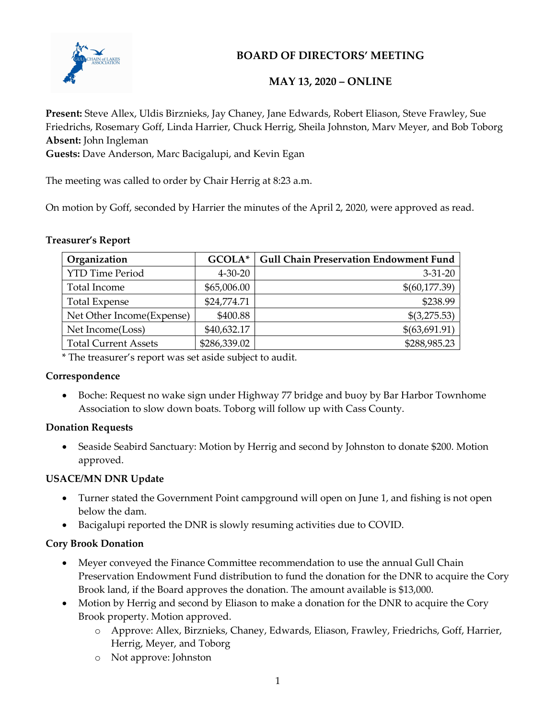

## MAY 13, 2020 – ONLINE

Present: Steve Allex, Uldis Birznieks, Jay Chaney, Jane Edwards, Robert Eliason, Steve Frawley, Sue Friedrichs, Rosemary Goff, Linda Harrier, Chuck Herrig, Sheila Johnston, Marv Meyer, and Bob Toborg Absent: John Ingleman

Guests: Dave Anderson, Marc Bacigalupi, and Kevin Egan

The meeting was called to order by Chair Herrig at 8:23 a.m.

On motion by Goff, seconded by Harrier the minutes of the April 2, 2020, were approved as read.

#### Treasurer's Report

| Organization                | GCOLA*        | <b>Gull Chain Preservation Endowment Fund</b> |
|-----------------------------|---------------|-----------------------------------------------|
| <b>YTD Time Period</b>      | $4 - 30 - 20$ | $3 - 31 - 20$                                 |
| Total Income                | \$65,006.00   | \$(60,177.39)                                 |
| <b>Total Expense</b>        | \$24,774.71   | \$238.99                                      |
| Net Other Income(Expense)   | \$400.88      | \$(3,275.53)                                  |
| Net Income(Loss)            | \$40,632.17   | \$(63,691.91)                                 |
| <b>Total Current Assets</b> | \$286,339.02  | \$288,985.23                                  |

\* The treasurer's report was set aside subject to audit.

#### Correspondence

 Boche: Request no wake sign under Highway 77 bridge and buoy by Bar Harbor Townhome Association to slow down boats. Toborg will follow up with Cass County.

#### Donation Requests

 Seaside Seabird Sanctuary: Motion by Herrig and second by Johnston to donate \$200. Motion approved.

## USACE/MN DNR Update

- Turner stated the Government Point campground will open on June 1, and fishing is not open below the dam.
- Bacigalupi reported the DNR is slowly resuming activities due to COVID.

## Cory Brook Donation

- Meyer conveyed the Finance Committee recommendation to use the annual Gull Chain Preservation Endowment Fund distribution to fund the donation for the DNR to acquire the Cory Brook land, if the Board approves the donation. The amount available is \$13,000.
- Motion by Herrig and second by Eliason to make a donation for the DNR to acquire the Cory Brook property. Motion approved.
	- o Approve: Allex, Birznieks, Chaney, Edwards, Eliason, Frawley, Friedrichs, Goff, Harrier, Herrig, Meyer, and Toborg
	- o Not approve: Johnston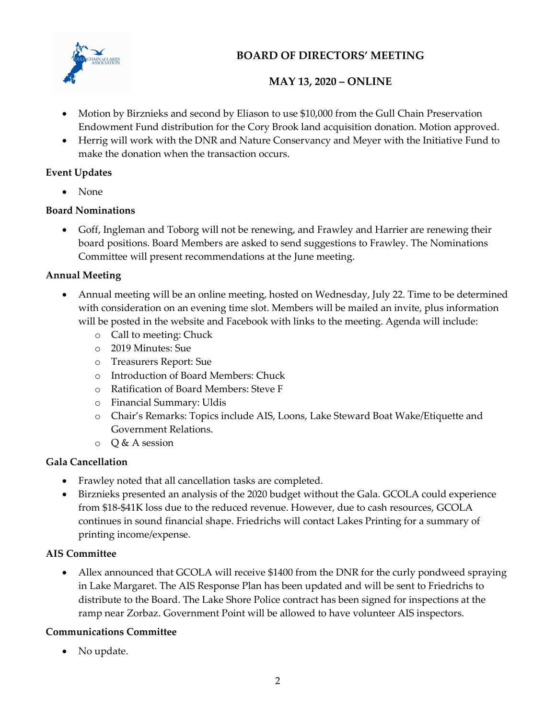

# MAY 13, 2020 – ONLINE

- Motion by Birznieks and second by Eliason to use \$10,000 from the Gull Chain Preservation Endowment Fund distribution for the Cory Brook land acquisition donation. Motion approved.
- Herrig will work with the DNR and Nature Conservancy and Meyer with the Initiative Fund to make the donation when the transaction occurs.

## Event Updates

• None

## Board Nominations

 Goff, Ingleman and Toborg will not be renewing, and Frawley and Harrier are renewing their board positions. Board Members are asked to send suggestions to Frawley. The Nominations Committee will present recommendations at the June meeting.

## Annual Meeting

- Annual meeting will be an online meeting, hosted on Wednesday, July 22. Time to be determined with consideration on an evening time slot. Members will be mailed an invite, plus information will be posted in the website and Facebook with links to the meeting. Agenda will include:
	- o Call to meeting: Chuck
	- o 2019 Minutes: Sue
	- o Treasurers Report: Sue
	- o Introduction of Board Members: Chuck
	- o Ratification of Board Members: Steve F
	- o Financial Summary: Uldis
	- o Chair's Remarks: Topics include AIS, Loons, Lake Steward Boat Wake/Etiquette and Government Relations.
	- $O & A$  session

## Gala Cancellation

- Frawley noted that all cancellation tasks are completed.
- Birznieks presented an analysis of the 2020 budget without the Gala. GCOLA could experience from \$18-\$41K loss due to the reduced revenue. However, due to cash resources, GCOLA continues in sound financial shape. Friedrichs will contact Lakes Printing for a summary of printing income/expense.

## AIS Committee

 Allex announced that GCOLA will receive \$1400 from the DNR for the curly pondweed spraying in Lake Margaret. The AIS Response Plan has been updated and will be sent to Friedrichs to distribute to the Board. The Lake Shore Police contract has been signed for inspections at the ramp near Zorbaz. Government Point will be allowed to have volunteer AIS inspectors.

## Communications Committee

No update.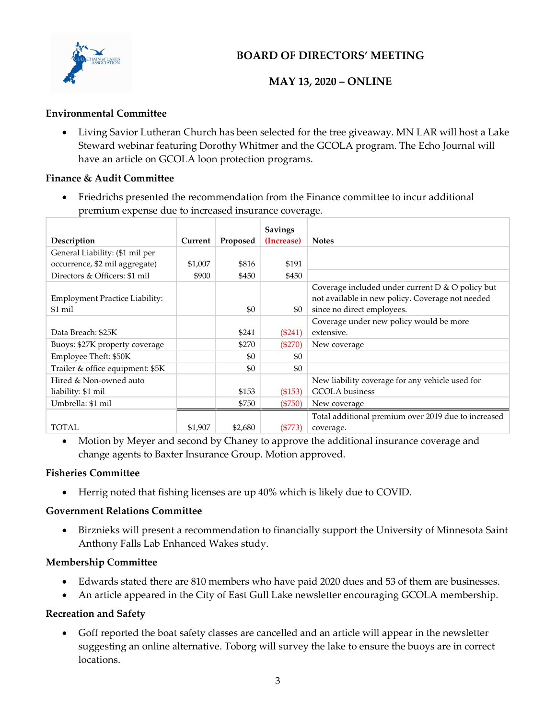

## MAY 13, 2020 – ONLINE

#### Environmental Committee

 Living Savior Lutheran Church has been selected for the tree giveaway. MN LAR will host a Lake Steward webinar featuring Dorothy Whitmer and the GCOLA program. The Echo Journal will have an article on GCOLA loon protection programs.

#### Finance & Audit Committee

 Friedrichs presented the recommendation from the Finance committee to incur additional premium expense due to increased insurance coverage.

|                                           |         |          | <b>Savings</b> |                                                                                                                                    |
|-------------------------------------------|---------|----------|----------------|------------------------------------------------------------------------------------------------------------------------------------|
| Description                               | Current | Proposed | (Increase)     | <b>Notes</b>                                                                                                                       |
| General Liability: (\$1 mil per           |         |          |                |                                                                                                                                    |
| occurrence, \$2 mil aggregate)            | \$1,007 | \$816    | \$191          |                                                                                                                                    |
| Directors & Officers: \$1 mil             | \$900   | \$450    | \$450          |                                                                                                                                    |
| Employment Practice Liability:<br>\$1 mil |         | \$0      | \$0            | Coverage included under current D & O policy but<br>not available in new policy. Coverage not needed<br>since no direct employees. |
|                                           |         |          |                | Coverage under new policy would be more                                                                                            |
| Data Breach: \$25K                        |         | \$241    | $(\$241)$      | extensive.                                                                                                                         |
| Buoys: \$27K property coverage            |         | \$270    | $(\$270)$      | New coverage                                                                                                                       |
| Employee Theft: \$50K                     |         | \$0      | \$0            |                                                                                                                                    |
| Trailer & office equipment: \$5K          |         | \$0      | \$0            |                                                                                                                                    |
| Hired & Non-owned auto                    |         |          |                | New liability coverage for any vehicle used for                                                                                    |
| liability: \$1 mil                        |         | \$153    | (\$153)        | <b>GCOLA</b> business                                                                                                              |
| Umbrella: \$1 mil                         |         | \$750    | $(\$750)$      | New coverage                                                                                                                       |
|                                           |         |          |                | Total additional premium over 2019 due to increased                                                                                |
| <b>TOTAL</b>                              | \$1,907 | \$2,680  | $(\$773)$      | coverage.                                                                                                                          |

 Motion by Meyer and second by Chaney to approve the additional insurance coverage and change agents to Baxter Insurance Group. Motion approved.

#### Fisheries Committee

Herrig noted that fishing licenses are up 40% which is likely due to COVID.

#### Government Relations Committee

 Birznieks will present a recommendation to financially support the University of Minnesota Saint Anthony Falls Lab Enhanced Wakes study.

#### Membership Committee

- Edwards stated there are 810 members who have paid 2020 dues and 53 of them are businesses.
- An article appeared in the City of East Gull Lake newsletter encouraging GCOLA membership.

#### Recreation and Safety

 Goff reported the boat safety classes are cancelled and an article will appear in the newsletter suggesting an online alternative. Toborg will survey the lake to ensure the buoys are in correct locations.